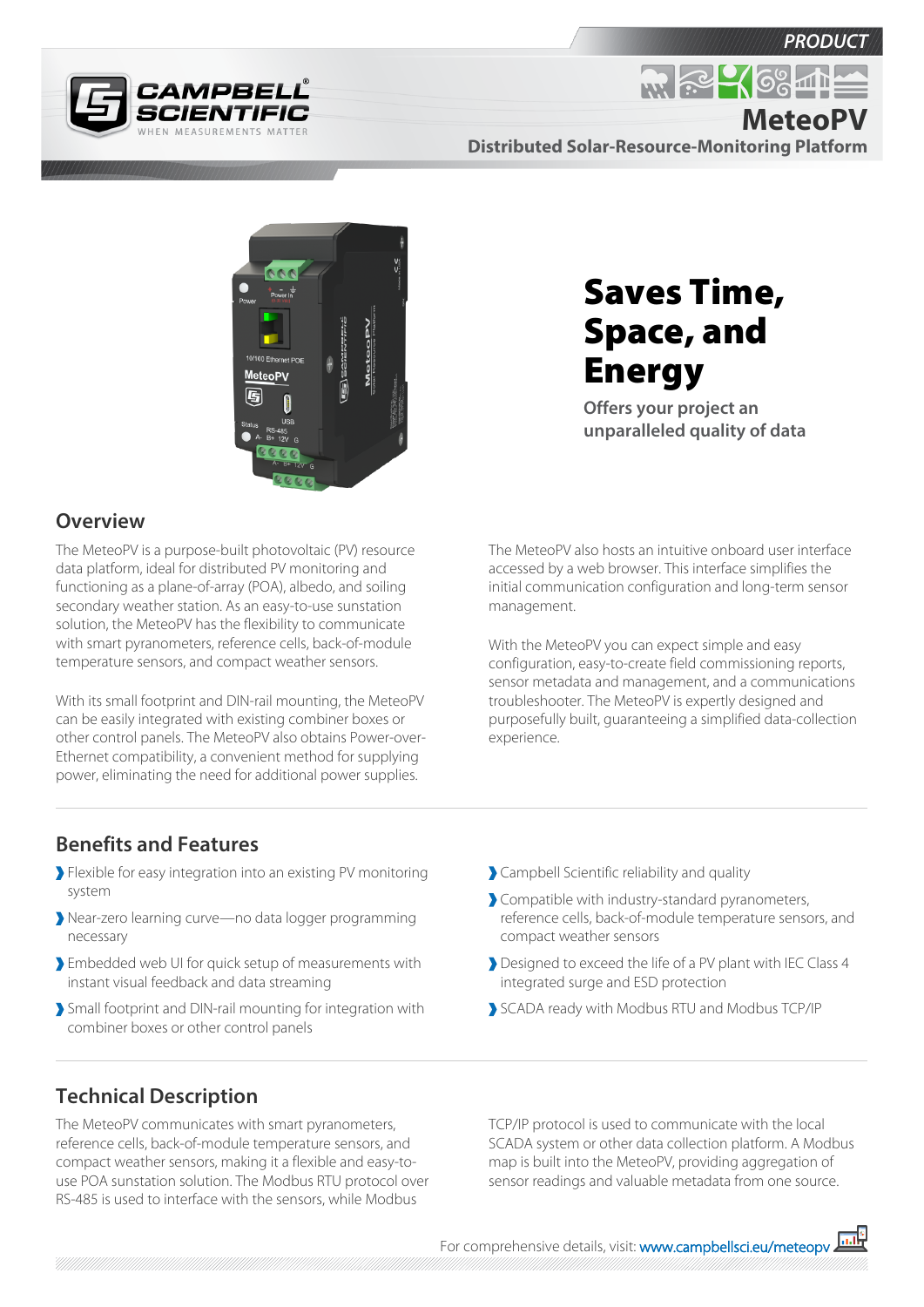

**MeteoPV**



**Distributed Solar-Resource-Monitoring Platform**

 $R \approx 26$ 

Saves Time,

Space, and

**Offers your project an** 

**unparalleled quality of data**

**Energy** 



## **Overview**

The MeteoPV is a purpose-built photovoltaic (PV) resource data platform, ideal for distributed PV monitoring and functioning as a plane-of-array (POA), albedo, and soiling secondary weather station. As an easy-to-use sunstation solution, the MeteoPV has the flexibility to communicate with smart pyranometers, reference cells, back-of-module temperature sensors, and compact weather sensors.

With its small footprint and DIN-rail mounting, the MeteoPV can be easily integrated with existing combiner boxes or other control panels. The MeteoPV also obtains Power-over-Ethernet compatibility, a convenient method for supplying power, eliminating the need for additional power supplies.

The MeteoPV also hosts an intuitive onboard user interface accessed by a web browser. This interface simplifies the initial communication configuration and long-term sensor management.

With the MeteoPV you can expect simple and easy configuration, easy-to-create field commissioning reports, sensor metadata and management, and a communications troubleshooter. The MeteoPV is expertly designed and purposefully built, guaranteeing a simplified data-collection experience.

## **Benefits and Features**

- Flexible for easy integration into an existing PV monitoring system
- Near-zero learning curve—no data logger programming necessary
- Embedded web UI for quick setup of measurements with instant visual feedback and data streaming
- Small footprint and DIN-rail mounting for integration with combiner boxes or other control panels
- Campbell Scientific reliability and quality
- Compatible with industry-standard pyranometers, reference cells, back-of-module temperature sensors, and compact weather sensors
- Designed to exceed the life of a PV plant with IEC Class 4 integrated surge and ESD protection
- SCADA ready with Modbus RTU and Modbus TCP/IP

## **Technical Description**

The MeteoPV communicates with smart pyranometers, reference cells, back-of-module temperature sensors, and compact weather sensors, making it a flexible and easy-touse POA sunstation solution. The Modbus RTU protocol over RS-485 is used to interface with the sensors, while Modbus

TCP/IP protocol is used to communicate with the local SCADA system or other data collection platform. A Modbus map is built into the MeteoPV, providing aggregation of sensor readings and valuable metadata from one source.